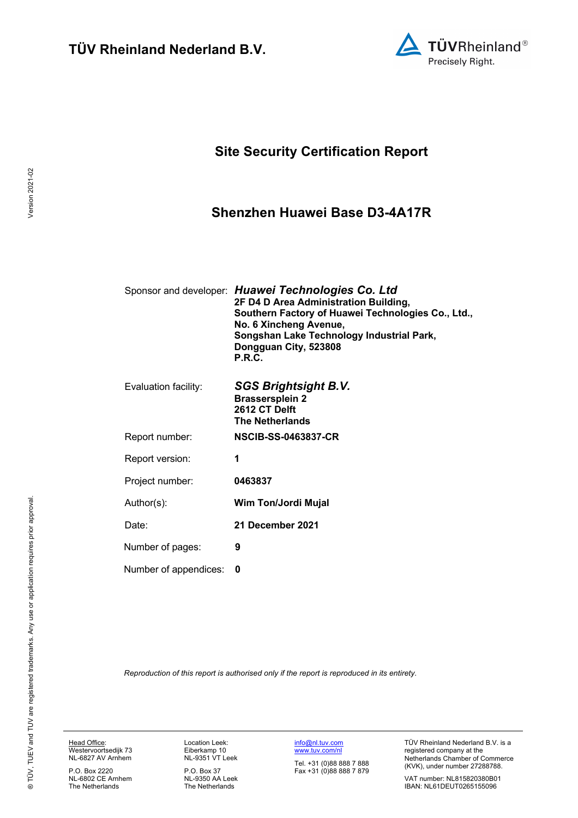

## **Site Security Certification Report**

### **Shenzhen Huawei Base D3-4A17R**

|                       | Sponsor and developer: Huawei Technologies Co. Ltd<br>2F D4 D Area Administration Building,<br>Southern Factory of Huawei Technologies Co., Ltd.,<br>No. 6 Xincheng Avenue,<br>Songshan Lake Technology Industrial Park,<br>Dongguan City, 523808<br>P.R.C. |
|-----------------------|-------------------------------------------------------------------------------------------------------------------------------------------------------------------------------------------------------------------------------------------------------------|
| Evaluation facility:  | <b>SGS Brightsight B.V.</b><br><b>Brassersplein 2</b><br>2612 CT Delft<br><b>The Netherlands</b>                                                                                                                                                            |
| Report number:        | <b>NSCIB-SS-0463837-CR</b>                                                                                                                                                                                                                                  |
| Report version:       | 1                                                                                                                                                                                                                                                           |
| Project number:       | 0463837                                                                                                                                                                                                                                                     |
| Author(s):            | Wim Ton/Jordi Mujal                                                                                                                                                                                                                                         |
| Date:                 | 21 December 2021                                                                                                                                                                                                                                            |
| Number of pages:      | 9                                                                                                                                                                                                                                                           |
| Number of appendices: | 0                                                                                                                                                                                                                                                           |
|                       |                                                                                                                                                                                                                                                             |

*Reproduction of this report is authorised only if the report is reproduced in its entirety.*

Version 2021-02

Version 2021-02

P.O. Box 2220 NL-6802 CE Arnhem The Netherlands

Location Leek: Eiberkamp 10 NL-9351 VT Leek

P.O. Box 37 NL-9350 AA Leek The Netherlands

info@nl.tuv.com www.tuv.com/nl

Tel. +31 (0)88 888 7 888 Fax +31 (0)88 888 7 879 TÜV Rheinland Nederland B.V. is a registered company at the Netherlands Chamber of Commerce (KVK), under number 27288788.

VAT number: NL815820380B01 IBAN: NL61DEUT0265155096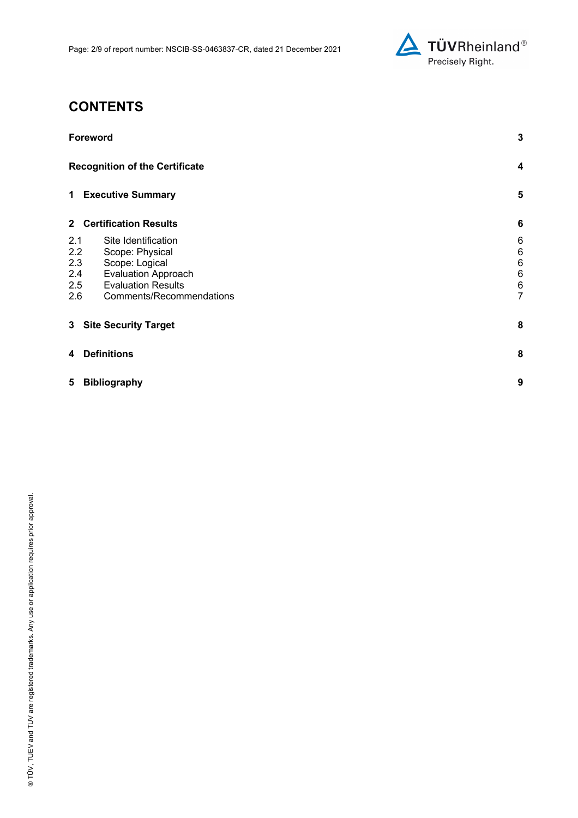

## **CONTENTS**

| Foreword                                                                                                                                                                                  |                                                         |  |
|-------------------------------------------------------------------------------------------------------------------------------------------------------------------------------------------|---------------------------------------------------------|--|
| <b>Recognition of the Certificate</b>                                                                                                                                                     | 4                                                       |  |
| 1 Executive Summary                                                                                                                                                                       | 5                                                       |  |
| 2 Certification Results                                                                                                                                                                   | $6\phantom{1}6$                                         |  |
| 2.1<br>Site Identification<br>2.2<br>Scope: Physical<br>2.3<br>Scope: Logical<br>2.4<br><b>Evaluation Approach</b><br>2.5<br><b>Evaluation Results</b><br>Comments/Recommendations<br>2.6 | 6<br>6<br>6<br>$6\phantom{1}6$<br>$\boldsymbol{6}$<br>7 |  |
| 3 Site Security Target                                                                                                                                                                    | 8                                                       |  |
| <b>Definitions</b><br>4                                                                                                                                                                   | 8                                                       |  |
| 5<br><b>Bibliography</b>                                                                                                                                                                  | 9                                                       |  |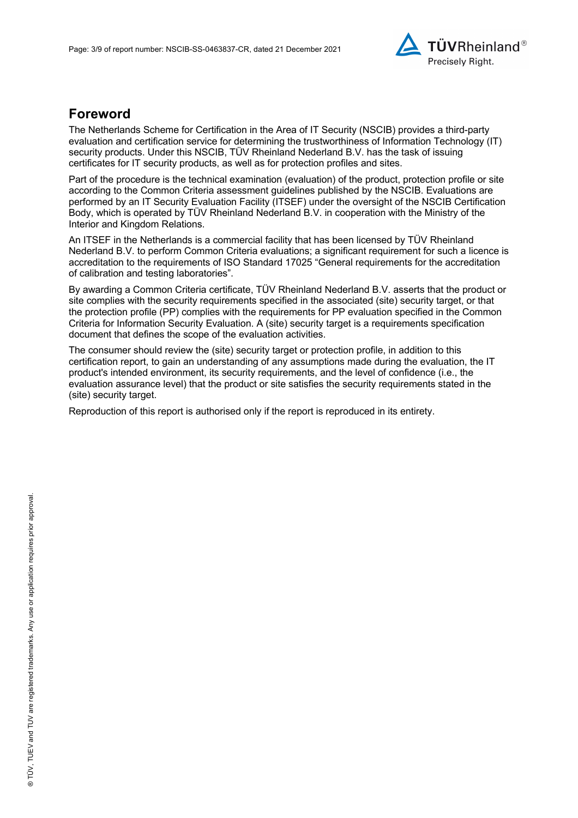

### **Foreword**

The Netherlands Scheme for Certification in the Area of IT Security (NSCIB) provides a third-party evaluation and certification service for determining the trustworthiness of Information Technology (IT) security products. Under this NSCIB, TÜV Rheinland Nederland B.V. has the task of issuing certificates for IT security products, as well as for protection profiles and sites.

Part of the procedure is the technical examination (evaluation) of the product, protection profile or site according to the Common Criteria assessment guidelines published by the NSCIB. Evaluations are performed by an IT Security Evaluation Facility (ITSEF) under the oversight of the NSCIB Certification Body, which is operated by TÜV Rheinland Nederland B.V. in cooperation with the Ministry of the Interior and Kingdom Relations.

An ITSEF in the Netherlands is a commercial facility that has been licensed by TÜV Rheinland Nederland B.V. to perform Common Criteria evaluations; a significant requirement for such a licence is accreditation to the requirements of ISO Standard 17025 "General requirements for the accreditation of calibration and testing laboratories".

By awarding a Common Criteria certificate, TÜV Rheinland Nederland B.V. asserts that the product or site complies with the security requirements specified in the associated (site) security target, or that the protection profile (PP) complies with the requirements for PP evaluation specified in the Common Criteria for Information Security Evaluation. A (site) security target is a requirements specification document that defines the scope of the evaluation activities.

The consumer should review the (site) security target or protection profile, in addition to this certification report, to gain an understanding of any assumptions made during the evaluation, the IT product's intended environment, its security requirements, and the level of confidence (i.e., the evaluation assurance level) that the product or site satisfies the security requirements stated in the (site) security target.

Reproduction of this report is authorised only if the report is reproduced in its entirety.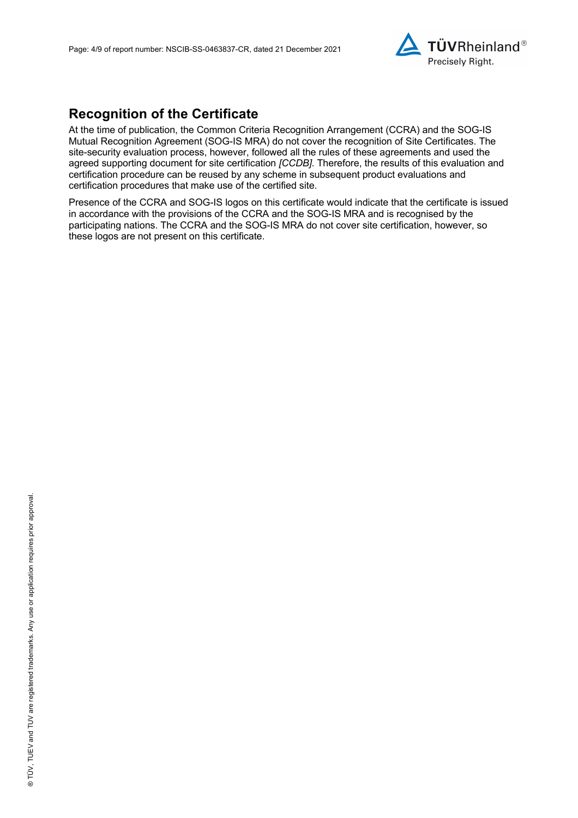

## **Recognition of the Certificate**

At the time of publication, the Common Criteria Recognition Arrangement (CCRA) and the SOG-IS Mutual Recognition Agreement (SOG-IS MRA) do not cover the recognition of Site Certificates. The site-security evaluation process, however, followed all the rules of these agreements and used the agreed supporting document for site certification *[CCDB]*. Therefore, the results of this evaluation and certification procedure can be reused by any scheme in subsequent product evaluations and certification procedures that make use of the certified site.

Presence of the CCRA and SOG-IS logos on this certificate would indicate that the certificate is issued in accordance with the provisions of the CCRA and the SOG-IS MRA and is recognised by the participating nations. The CCRA and the SOG-IS MRA do not cover site certification, however, so these logos are not present on this certificate.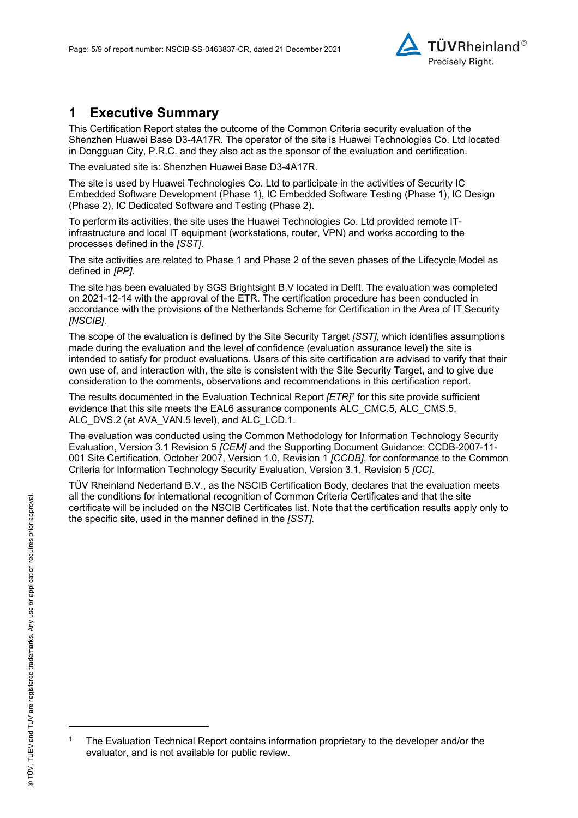

## **1 Executive Summary**

This Certification Report states the outcome of the Common Criteria security evaluation of the Shenzhen Huawei Base D3-4A17R. The operator of the site is Huawei Technologies Co. Ltd located in Dongguan City, P.R.C. and they also act as the sponsor of the evaluation and certification.

The evaluated site is: Shenzhen Huawei Base D3-4A17R.

The site is used by Huawei Technologies Co. Ltd to participate in the activities of Security IC Embedded Software Development (Phase 1), IC Embedded Software Testing (Phase 1), IC Design (Phase 2), IC Dedicated Software and Testing (Phase 2).

To perform its activities, the site uses the Huawei Technologies Co. Ltd provided remote ITinfrastructure and local IT equipment (workstations, router, VPN) and works according to the processes defined in the *[SST]*.

The site activities are related to Phase 1 and Phase 2 of the seven phases of the Lifecycle Model as defined in *[PP]*.

The site has been evaluated by SGS Brightsight B.V located in Delft. The evaluation was completed on 2021-12-14 with the approval of the ETR. The certification procedure has been conducted in accordance with the provisions of the Netherlands Scheme for Certification in the Area of IT Security *[NSCIB]*.

The scope of the evaluation is defined by the Site Security Target *[SST]*, which identifies assumptions made during the evaluation and the level of confidence (evaluation assurance level) the site is intended to satisfy for product evaluations. Users of this site certification are advised to verify that their own use of, and interaction with, the site is consistent with the Site Security Target, and to give due consideration to the comments, observations and recommendations in this certification report.

The results documented in the Evaluation Technical Report *[ETR]1* for this site provide sufficient evidence that this site meets the EAL6 assurance components ALC\_CMC.5, ALC\_CMS.5, ALC\_DVS.2 (at AVA\_VAN.5 level), and ALC\_LCD.1.

The evaluation was conducted using the Common Methodology for Information Technology Security Evaluation, Version 3.1 Revision 5 *[CEM]* and the Supporting Document Guidance: CCDB-2007-11- 001 Site Certification, October 2007, Version 1.0, Revision 1 *[CCDB]*, for conformance to the Common Criteria for Information Technology Security Evaluation, Version 3.1, Revision 5 *[CC]*.

TÜV Rheinland Nederland B.V., as the NSCIB Certification Body, declares that the evaluation meets all the conditions for international recognition of Common Criteria Certificates and that the site certificate will be included on the NSCIB Certificates list. Note that the certification results apply only to the specific site, used in the manner defined in the *[SST].*

<sup>1</sup> The Evaluation Technical Report contains information proprietary to the developer and/or the evaluator, and is not available for public review.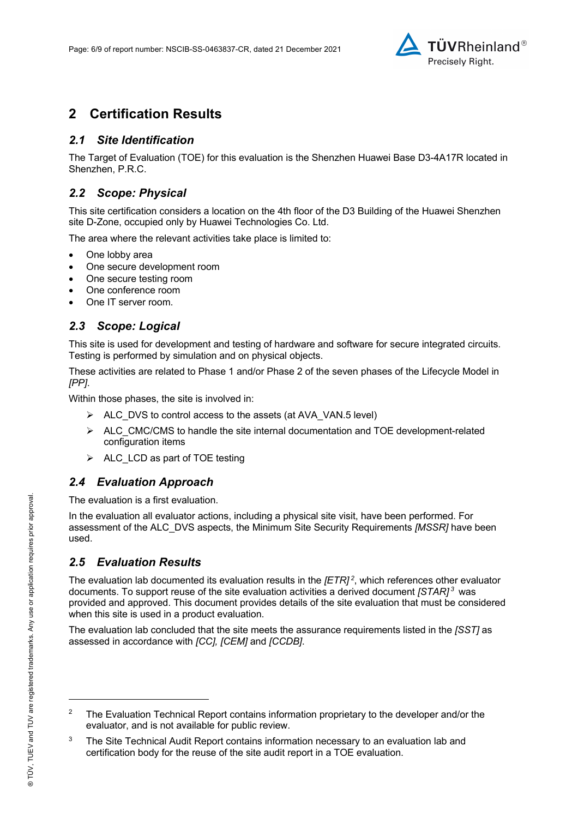

## **2 Certification Results**

### *2.1 Site Identification*

The Target of Evaluation (TOE) for this evaluation is the Shenzhen Huawei Base D3-4A17R located in Shenzhen, P.R.C.

### *2.2 Scope: Physical*

This site certification considers a location on the 4th floor of the D3 Building of the Huawei Shenzhen site D-Zone, occupied only by Huawei Technologies Co. Ltd.

The area where the relevant activities take place is limited to:

- One lobby area
- One secure development room
- One secure testing room
- One conference room
- One IT server room.

### *2.3 Scope: Logical*

This site is used for development and testing of hardware and software for secure integrated circuits. Testing is performed by simulation and on physical objects.

These activities are related to Phase 1 and/or Phase 2 of the seven phases of the Lifecycle Model in *[PP]*.

Within those phases, the site is involved in:

- $\triangleright$  ALC DVS to control access to the assets (at AVA\_VAN.5 level)
- $\triangleright$  ALC CMC/CMS to handle the site internal documentation and TOE development-related configuration items
- $\triangleright$  ALC LCD as part of TOE testing

### *2.4 Evaluation Approach*

The evaluation is a first evaluation.

In the evaluation all evaluator actions, including a physical site visit, have been performed. For assessment of the ALC\_DVS aspects, the Minimum Site Security Requirements *[MSSR]* have been used.

### *2.5 Evaluation Results*

The evaluation lab documented its evaluation results in the *[ETR] <sup>2</sup>* , which references other evaluator documents. To support reuse of the site evaluation activities a derived document *[STAR] <sup>3</sup>* was provided and approved. This document provides details of the site evaluation that must be considered when this site is used in a product evaluation.

The evaluation lab concluded that the site meets the assurance requirements listed in the *[SST]* as assessed in accordance with *[CC], [CEM]* and *[CCDB]*.

<sup>2</sup> The Evaluation Technical Report contains information proprietary to the developer and/or the evaluator, and is not available for public review.

 $3$  The Site Technical Audit Report contains information necessary to an evaluation lab and certification body for the reuse of the site audit report in a TOE evaluation.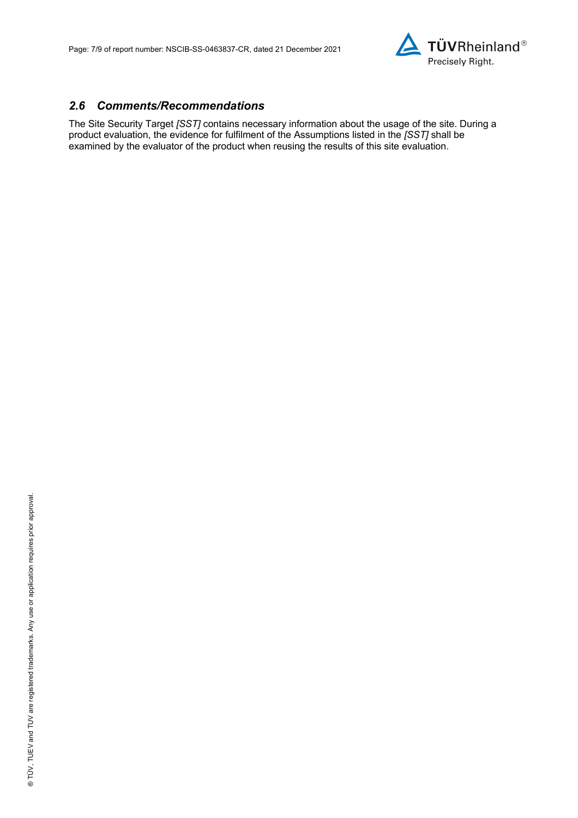

#### *2.6 Comments/Recommendations*

The Site Security Target *[SST]* contains necessary information about the usage of the site. During a product evaluation, the evidence for fulfilment of the Assumptions listed in the *[SST]* shall be examined by the evaluator of the product when reusing the results of this site evaluation.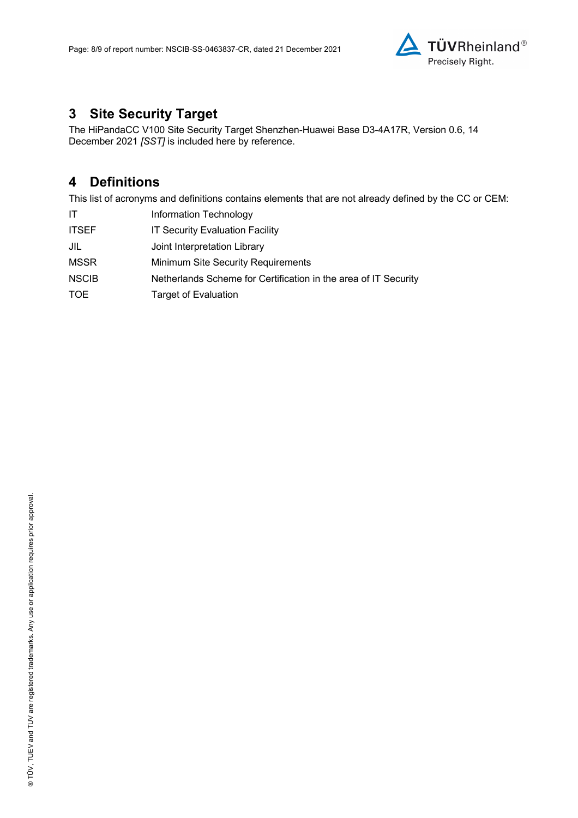

### **3 Site Security Target**

The HiPandaCC V100 Site Security Target Shenzhen-Huawei Base D3-4A17R, Version 0.6, 14 December 2021 *[SST]* is included here by reference.

### **4 Definitions**

This list of acronyms and definitions contains elements that are not already defined by the CC or CEM:

| ΙT           | Information Technology                                          |
|--------------|-----------------------------------------------------------------|
| <b>ITSEF</b> | <b>IT Security Evaluation Facility</b>                          |
| JIL          | Joint Interpretation Library                                    |
| <b>MSSR</b>  | <b>Minimum Site Security Requirements</b>                       |
| <b>NSCIB</b> | Netherlands Scheme for Certification in the area of IT Security |
| TOE          | <b>Target of Evaluation</b>                                     |